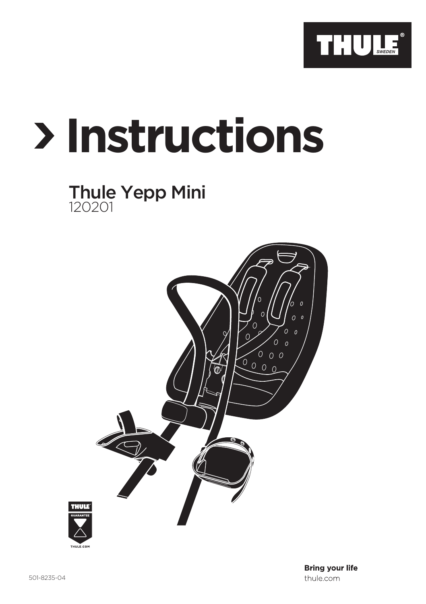

# **Instructions**

## Thule Yepp Mini 120201

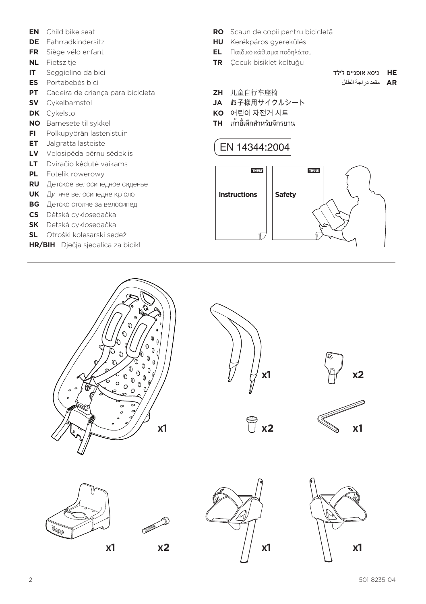- **EN** Child bike seat
- **DE** Fahrradkindersitz
- **FR** Siège vélo enfant
- **NL** Fietszitje
- **IT** Seggiolino da bici
- **ES** Portabebés bici
- **PT** Cadeira de criança para bicicleta
- **SV** Cykelbarnstol
- **DK** Cykelstol
- **NO** Barnesete til sykkel
- **FI** Polkupyörän lastenistuin
- **ET** Jalgratta lasteiste
- **LV** Velosipēda bērnu sēdeklis
- **LT** Dviračio kėdutė vaikams
- **PL** Fotelik rowerowy
- **RU** Детское велосипедное сиденье
- **UK** Дитяче велосипедне крісло
- **BG** Детско столче за велосипед
- **CS** Dětská cyklosedačka
- **SK** Detská cyklosedačka
- **SL** Otroški kolesarski sedež
- **HR/BIH** Dječja sjedalica za bicikl
- **RO** Scaun de copii pentru bicicletă
- **HU** Kerékpáros gyerekülés
- **EL** Παιδικό κάθισμα ποδηλάτου
- **TR** Çocuk bisiklet koltuğu
- **HE** כיסא אופניים לילד
	- **AR** مقعد دراجة الطفل
- **ZH** 儿童自行车座椅
- **JA** お子様用サイクルシート
- **KO** 어린이 자전거 시트
- **TH** เก้าอี้เด็กสำ หรับจักรยาน

### EN 14344:2004





**x1**

**x2**









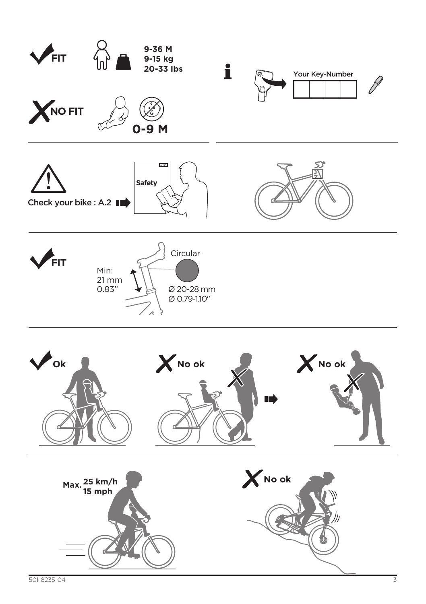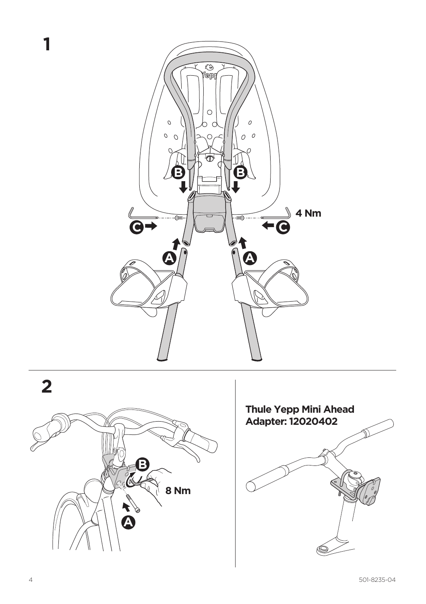



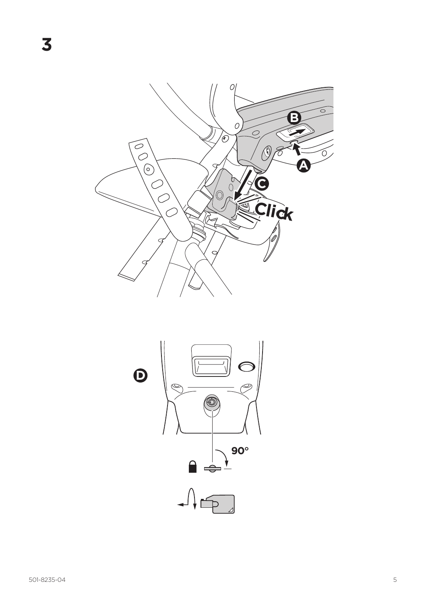

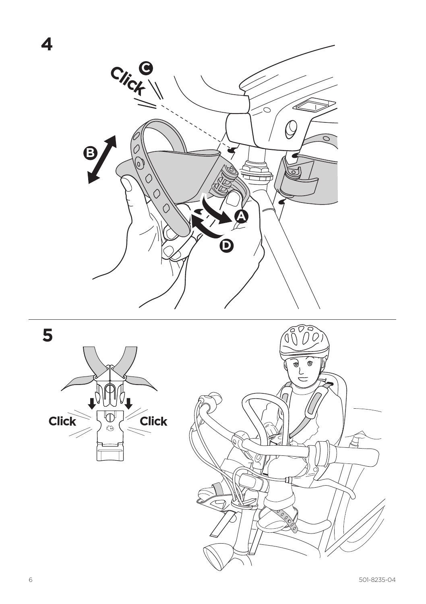





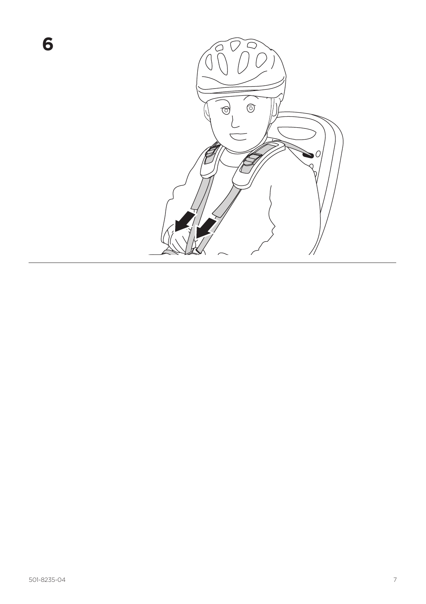

**6**